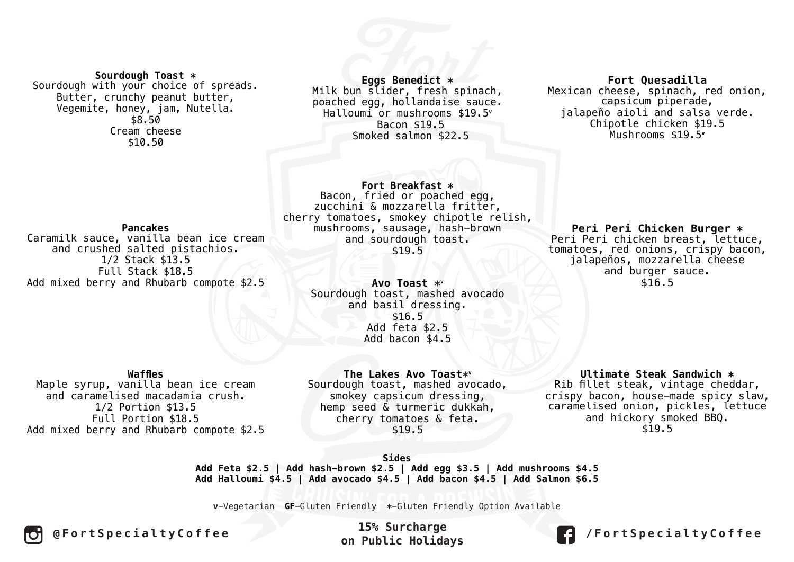**Sourdough Toast \*** Sourdough with your choice of spreads. Butter, crunchy peanut butter, Vegemite, honey, jam, Nutella. \$8.50 Cream cheese \$10.50

## **Eggs Benedict \*** Milk bun slider, fresh spinach, poached egg, hollandaise sauce. Halloumi or mushrooms \$19.5**<sup>v</sup>** Bacon \$19.5 Smoked salmon \$22.5

#### **Fort Quesadilla** Mexican cheese, spinach, red onion, capsicum piperade, jalapeño aioli and salsa verde. Chipotle chicken \$19.5 Mushrooms \$19.5**<sup>v</sup>**

#### **Pancakes**

Caramilk sauce, vanilla bean ice cream and crushed salted pistachios. 1/2 Stack \$13.5 Full Stack \$18.5 Add mixed berry and Rhubarb compote \$2.5

### **Fort Breakfast \*** Bacon, fried or poached egg, zucchini & mozzarella fritter, cherry tomatoes, smokey chipotle relish, mushrooms, sausage, hash-brown and sourdough toast. \$19.5

**Avo Toast \* v** Sourdough toast, mashed avocado and basil dressing. \$16.5 Add feta \$2.5 Add bacon \$4.5

#### **Waffles**

Maple syrup, vanilla bean ice cream and caramelised macadamia crush. 1/2 Portion \$13.5 Full Portion \$18.5 Add mixed berry and Rhubarb compote \$2.5

**The Lakes Avo Toast\* v** Sourdough toast, mashed avocado, smokey capsicum dressing, hemp seed & turmeric dukkah, cherry tomatoes & feta. \$19.5

**Peri Peri Chicken Burger \*** Peri Peri chicken breast, lettuce, tomatoes, red onions, crispy bacon, jalapeños, mozzarella cheese and burger sauce. \$16.5

**Ultimate Steak Sandwich \*** Rib fillet steak, vintage cheddar, crispy bacon, house-made spicy slaw, caramelised onion, pickles, lettuce and hickory smoked BBQ. \$19.5

**Sides**

**Add Feta \$2.5 | Add hash-brown \$2.5 | Add egg \$3.5 | Add mushrooms \$4.5 Add Halloumi \$4.5 | Add avocado \$4.5 | Add bacon \$4.5 | Add Salmon \$6.5**

**v**-Vegetarian **GF**-Gluten Friendly **\***-Gluten Friendly Option Available



**15% Surcharge on Public Holidays**